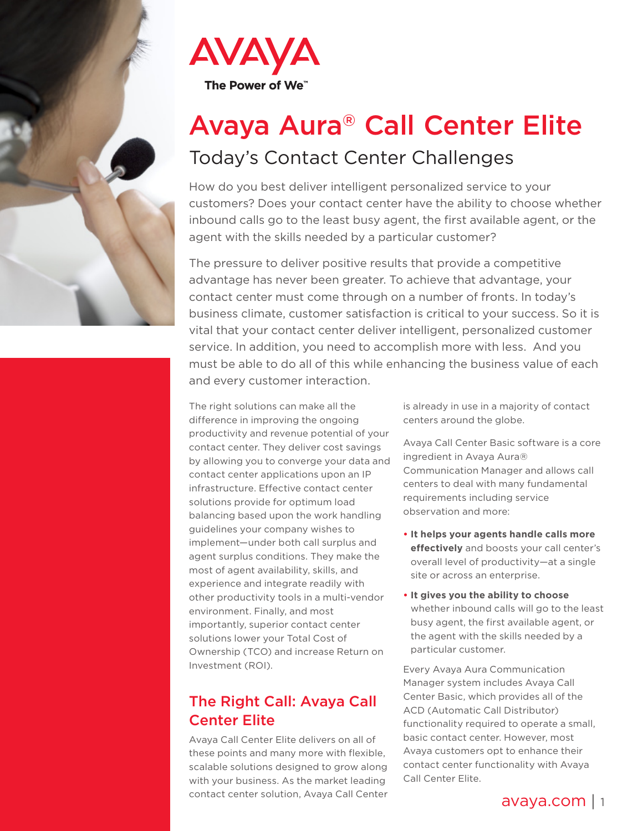

# Avaya Aura® Call Center Elite Today's Contact Center Challenges

How do you best deliver intelligent personalized service to your customers? Does your contact center have the ability to choose whether inbound calls go to the least busy agent, the first available agent, or the agent with the skills needed by a particular customer?

The pressure to deliver positive results that provide a competitive advantage has never been greater. To achieve that advantage, your contact center must come through on a number of fronts. In today's business climate, customer satisfaction is critical to your success. So it is vital that your contact center deliver intelligent, personalized customer service. In addition, you need to accomplish more with less. And you must be able to do all of this while enhancing the business value of each and every customer interaction.

The right solutions can make all the difference in improving the ongoing productivity and revenue potential of your contact center. They deliver cost savings by allowing you to converge your data and contact center applications upon an IP infrastructure. Effective contact center solutions provide for optimum load balancing based upon the work handling guidelines your company wishes to implement—under both call surplus and agent surplus conditions. They make the most of agent availability, skills, and experience and integrate readily with other productivity tools in a multi-vendor environment. Finally, and most importantly, superior contact center solutions lower your Total Cost of Ownership (TCO) and increase Return on Investment (ROI).

# The Right Call: Avaya Call Center Elite

Avaya Call Center Elite delivers on all of these points and many more with flexible, scalable solutions designed to grow along with your business. As the market leading contact center solution, Avaya Call Center

is already in use in a majority of contact centers around the globe.

Avaya Call Center Basic software is a core ingredient in Avaya Aura® Communication Manager and allows call centers to deal with many fundamental requirements including service observation and more:

- **• It helps your agents handle calls more effectively** and boosts your call center's overall level of productivity—at a single site or across an enterprise.
- **• It gives you the ability to choose** whether inbound calls will go to the least busy agent, the first available agent, or the agent with the skills needed by a particular customer.

Every Avaya Aura Communication Manager system includes Avaya Call Center Basic, which provides all of the ACD (Automatic Call Distributor) functionality required to operate a small, basic contact center. However, most Avaya customers opt to enhance their contact center functionality with Avaya Call Center Elite.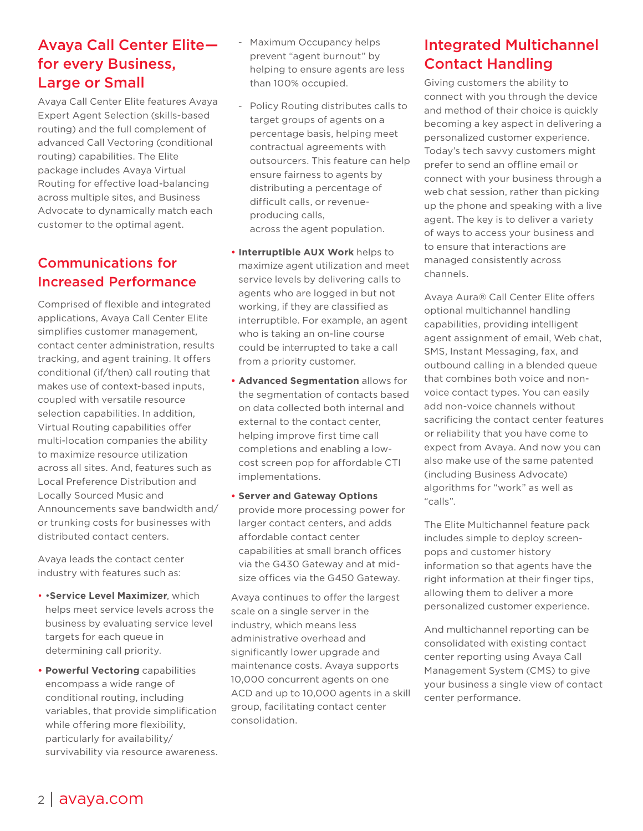# Avaya Call Center Elite for every Business, Large or Small

Avaya Call Center Elite features Avaya Expert Agent Selection (skills-based routing) and the full complement of advanced Call Vectoring (conditional routing) capabilities. The Elite package includes Avaya Virtual Routing for effective load-balancing across multiple sites, and Business Advocate to dynamically match each customer to the optimal agent.

# Communications for Increased Performance

Comprised of flexible and integrated applications, Avaya Call Center Elite simplifies customer management, contact center administration, results tracking, and agent training. It offers conditional (if/then) call routing that makes use of context-based inputs, coupled with versatile resource selection capabilities. In addition, Virtual Routing capabilities offer multi-location companies the ability to maximize resource utilization across all sites. And, features such as Local Preference Distribution and Locally Sourced Music and Announcements save bandwidth and/ or trunking costs for businesses with distributed contact centers.

Avaya leads the contact center industry with features such as:

- •**Service Level Maximizer**, which helps meet service levels across the business by evaluating service level targets for each queue in determining call priority.
- **• Powerful Vectoring** capabilities encompass a wide range of conditional routing, including variables, that provide simplification while offering more flexibility, particularly for availability/ survivability via resource awareness.
- Maximum Occupancy helps prevent "agent burnout" by helping to ensure agents are less than 100% occupied.
- Policy Routing distributes calls to target groups of agents on a percentage basis, helping meet contractual agreements with outsourcers. This feature can help ensure fairness to agents by distributing a percentage of difficult calls, or revenue producing calls, across the agent population.
- **• Interruptible AUX Work** helps to maximize agent utilization and meet service levels by delivering calls to agents who are logged in but not working, if they are classified as interruptible. For example, an agent who is taking an on-line course could be interrupted to take a call from a priority customer.
- **• Advanced Segmentation** allows for the segmentation of contacts based on data collected both internal and external to the contact center, helping improve first time call completions and enabling a lowcost screen pop for affordable CTI implementations.
- **• Server and Gateway Options** provide more processing power for larger contact centers, and adds affordable contact center capabilities at small branch offices via the G430 Gateway and at midsize offices via the G450 Gateway.

Avaya continues to offer the largest scale on a single server in the industry, which means less administrative overhead and significantly lower upgrade and maintenance costs. Avaya supports 10,000 concurrent agents on one ACD and up to 10,000 agents in a skill group, facilitating contact center consolidation.

# Integrated Multichannel Contact Handling

Giving customers the ability to connect with you through the device and method of their choice is quickly becoming a key aspect in delivering a personalized customer experience. Today's tech savvy customers might prefer to send an offline email or connect with your business through a web chat session, rather than picking up the phone and speaking with a live agent. The key is to deliver a variety of ways to access your business and to ensure that interactions are managed consistently across channels.

Avaya Aura® Call Center Elite offers optional multichannel handling capabilities, providing intelligent agent assignment of email, Web chat, SMS, Instant Messaging, fax, and outbound calling in a blended queue that combines both voice and nonvoice contact types. You can easily add non-voice channels without sacrificing the contact center features or reliability that you have come to expect from Avaya. And now you can also make use of the same patented (including Business Advocate) algorithms for "work" as well as "calls".

The Elite Multichannel feature pack includes simple to deploy screenpops and customer history information so that agents have the right information at their finger tips, allowing them to deliver a more personalized customer experience.

And multichannel reporting can be consolidated with existing contact center reporting using Avaya Call Management System (CMS) to give your business a single view of contact center performance.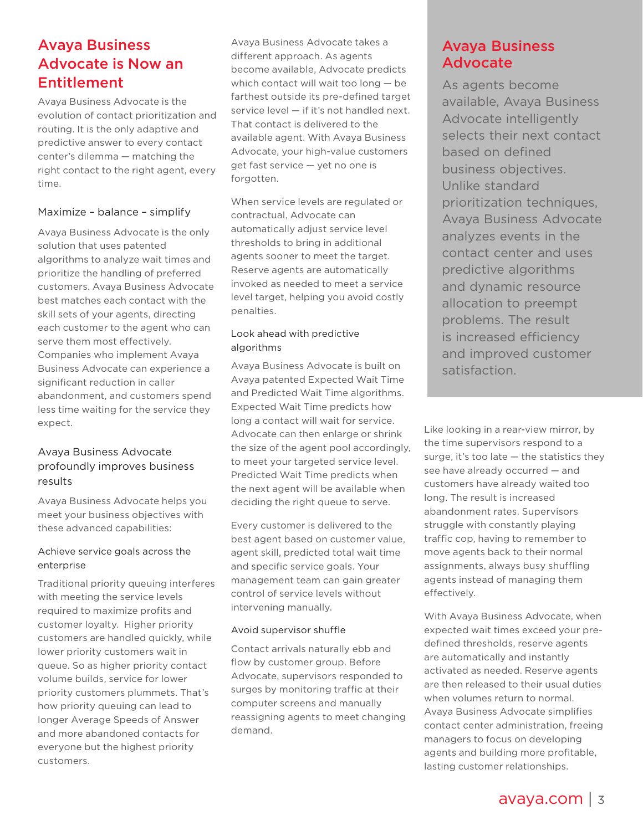# Avaya Business Advocate is Now an Entitlement

Avaya Business Advocate is the evolution of contact prioritization and routing. It is the only adaptive and predictive answer to every contact center's dilemma — matching the right contact to the right agent, every time.

#### Maximize – balance – simplify

Avaya Business Advocate is the only solution that uses patented algorithms to analyze wait times and prioritize the handling of preferred customers. Avaya Business Advocate best matches each contact with the skill sets of your agents, directing each customer to the agent who can serve them most effectively. Companies who implement Avaya Business Advocate can experience a significant reduction in caller abandonment, and customers spend less time waiting for the service they expect.

#### Avaya Business Advocate profoundly improves business results

Avaya Business Advocate helps you meet your business objectives with these advanced capabilities:

#### Achieve service goals across the enterprise

Traditional priority queuing interferes with meeting the service levels required to maximize profits and customer loyalty. Higher priority customers are handled quickly, while lower priority customers wait in queue. So as higher priority contact volume builds, service for lower priority customers plummets. That's how priority queuing can lead to longer Average Speeds of Answer and more abandoned contacts for everyone but the highest priority customers.

Avaya Business Advocate takes a different approach. As agents become available, Advocate predicts which contact will wait too long — be farthest outside its pre-defined target service level — if it's not handled next. That contact is delivered to the available agent. With Avaya Business Advocate, your high-value customers get fast service — yet no one is forgotten.

When service levels are regulated or contractual, Advocate can automatically adjust service level thresholds to bring in additional agents sooner to meet the target. Reserve agents are automatically invoked as needed to meet a service level target, helping you avoid costly penalties.

#### Look ahead with predictive algorithms

Avaya Business Advocate is built on Avaya patented Expected Wait Time and Predicted Wait Time algorithms. Expected Wait Time predicts how long a contact will wait for service. Advocate can then enlarge or shrink the size of the agent pool accordingly, to meet your targeted service level. Predicted Wait Time predicts when the next agent will be available when deciding the right queue to serve.

Every customer is delivered to the best agent based on customer value, agent skill, predicted total wait time and specific service goals. Your management team can gain greater control of service levels without intervening manually.

#### Avoid supervisor shuffle

Contact arrivals naturally ebb and flow by customer group. Before Advocate, supervisors responded to surges by monitoring traffic at their computer screens and manually reassigning agents to meet changing demand.

## Avaya Business Advocate

As agents become available, Avaya Business Advocate intelligently selects their next contact based on defined business objectives. Unlike standard prioritization techniques, Avaya Business Advocate analyzes events in the contact center and uses predictive algorithms and dynamic resource allocation to preempt problems. The result is increased efficiency and improved customer satisfaction.

Like looking in a rear-view mirror, by the time supervisors respond to a surge, it's too late  $-$  the statistics they see have already occurred — and customers have already waited too long. The result is increased abandonment rates. Supervisors struggle with constantly playing traffic cop, having to remember to move agents back to their normal assignments, always busy shuffling agents instead of managing them effectively.

With Avaya Business Advocate, when expected wait times exceed your predefined thresholds, reserve agents are automatically and instantly activated as needed. Reserve agents are then released to their usual duties when volumes return to normal. Avaya Business Advocate simplifies contact center administration, freeing managers to focus on developing agents and building more profitable, lasting customer relationships.